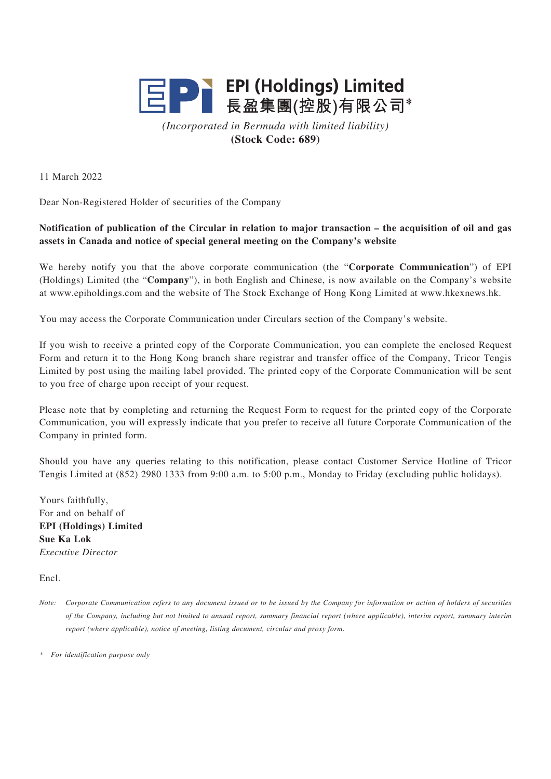

*(Incorporated in Bermuda with limited liability)* **(Stock Code: 689)**

11 March 2022

Dear Non-Registered Holder of securities of the Company

## **Notification of publication of the Circular in relation to major transaction – the acquisition of oil and gas assets in Canada and notice of special general meeting on the Company's website**

We hereby notify you that the above corporate communication (the "**Corporate Communication**") of EPI (Holdings) Limited (the "**Company**"), in both English and Chinese, is now available on the Company's website at www.epiholdings.com and the website of The Stock Exchange of Hong Kong Limited at www.hkexnews.hk.

You may access the Corporate Communication under Circulars section of the Company's website.

If you wish to receive a printed copy of the Corporate Communication, you can complete the enclosed Request Form and return it to the Hong Kong branch share registrar and transfer office of the Company, Tricor Tengis Limited by post using the mailing label provided. The printed copy of the Corporate Communication will be sent to you free of charge upon receipt of your request.

Please note that by completing and returning the Request Form to request for the printed copy of the Corporate Communication, you will expressly indicate that you prefer to receive all future Corporate Communication of the Company in printed form.

Should you have any queries relating to this notification, please contact Customer Service Hotline of Tricor Tengis Limited at (852) 2980 1333 from 9:00 a.m. to 5:00 p.m., Monday to Friday (excluding public holidays).

Yours faithfully, For and on behalf of **EPI (Holdings) Limited Sue Ka Lok** *Executive Director*

Encl.

*Note: Corporate Communication refers to any document issued or to be issued by the Company for information or action of holders of securities of the Company, including but not limited to annual report, summary financial report (where applicable), interim report, summary interim report (where applicable), notice of meeting, listing document, circular and proxy form.*

*\* For identification purpose only*